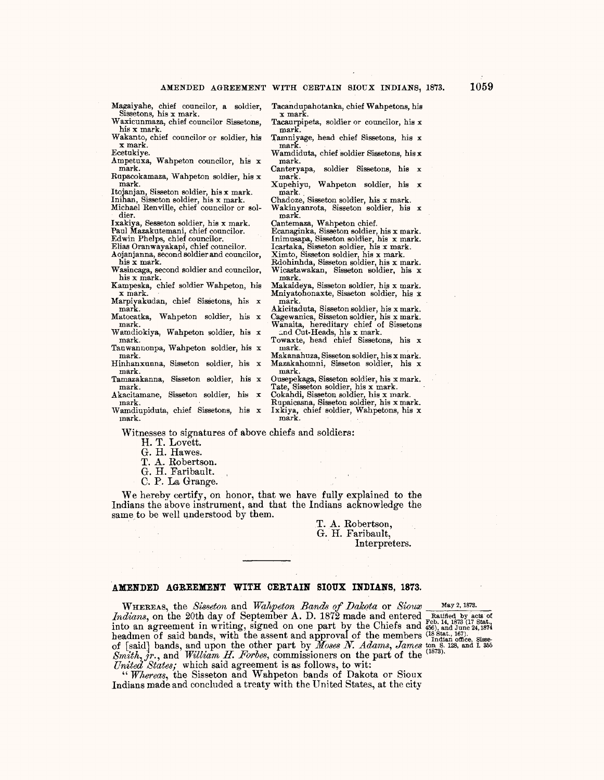mark.

Magaiyahe, chief councilor, a soldier, Sissetons, his x mark.

W axicunmaza, chief councilor Sissetons, his x mark.

Wakanto, chief councilor or soldier, his x mark.

Ecetukiye.

Ampetuxa, Wahpeton councilor, his x mark.

Rupacokamaza, Wahpeton soldier, his x mark.

Itojanjan, Sisseton soldier, his x mark.

Inihan, Sisseton soldier, his x mark. Michael Renville, chief councilor or soldier.

Ixakiya, Sesseton soldier, his x mark. Paul Mazakutemani, chief councilor.

Edwin Phelps, chief councilor.

Elias Oranwayakapi, chief councilor.

Aojanjanna, second soldier and councilor,

his x mark. Wasincaga, second soldier and councilor,

his x mark. Kampeska, chief soldier Wahpeton, his x mark.

Marpiyakudan, chief Sissetons, his x mark.

Matocatka, Wahpeton soldier, his x mark.

Wamdiokiya, Wahpeton soldier, his x mark.

Tanwannonpa, Wahpeton soldier, his x mark.

Hinhanxunna, Sisseton soldier, his x mark.

Tamazakanna, Sisseton soldier, his x mark.

Akacitamane, Sisseton soldier, his mark.

Wamdiupiduta, chief Sissetons, his x mark.

Witnesses to signatures of above chiefs and soldiers:

**H.** T. Lovett.

G. H. Hawes.

**T. A.** Robertson.

G. H. Faribault.

C. P. La Grange.

We hereby certify, on honor, that we have fully explained to the Indians the above instrument, and that the Indians acknowledge the same to be well understood by them.

> T. A. Robertson, G. H. Faribault,<br>Interpreters.

## **AMENDED AGREEMENT WITH CERTAIN SIOUX INDIANS, 1873.**

 $Smith, jr.,$  and *William H. Forbes,* commissioners on the part of the  $(1873)$ .

" Whereas, the Sisseton and Wahpeton bands of Dakota or Sioux Indians made and concluded a treaty with the United States, at the city

United States; which said agreement is as follows, to wit:

Indians, on the 20th day of September A. D. 1872 made and entered Ratified by acts of into an agreement in writing, signed on one part by the Chiefs and  $^{76}$ <sub>456</sub>), and June 24, 1874

headmen of said bands, with the assent and approval of the members  $^{(18\text{ Stat.},167)}$ . of [said] bands, and upon the other part by  $\tilde{M}$ oses N. Adams, James ton s, 128, and I. 355

WHEREAS, the *Sisseton* and *Wahpeton Bands of Dakota* or *Sioux* May 2, 1878.

Cagewanica, Sisseton soldier, his x mark. Wanaita, hereditary chief of Sissetons

and Cut-Heads, his x mark.<br>Towaxte, head chief Sissetons, his x

mark.<br>Makanahuza, Sisseton soldier, his x mark.

Tate, Sisseton soldier, his x mark.

Rupaicaana, Sisseton soldier, his x mark.

Makaideya, Sisseton soldier, his x mark. mark.

Mniyatohonaxte, Sisseton soldier, his x

Akicitaduta, Sisseton soldier, his x mark.

Wamdiduta, chief soldier Sissetons, his x

Canteryapa, soldier Sissetons, his x mark. Xupehiyu, Wahpeton soldier, his x mark., Chadoze, Sisseton soldier, his x mark. Wakinyanrota, Sisseton soldier, his x mark.<br>Cantemaza, Wahpeton chief. Ecanaginka, Sisseton soldier, his x mark. lnimusapa, Sisseton soldier, his x mark. Icartaka, Sisseton soldier, his x mark. Ximto, Sisseton soldier, his x mark. Rdohinhda, Sisseton soldier, his x mark. Wicastawakan, Sisseton soldier, his x mark.

Mazakahomni, Sisseton soldier, his x mark.

Ousepekaga, Sisseton soldier, his x mark.

Cokahdi, Sisseton soldier, his x mark.

Ixkiya, chief soldier, Wahpetons, his x mark.

**1059** 

Tacandupahotanka, chief Wahpetons, his xmark. Tacaurpipeta, soldier or councilor, his x mark.

Tamniyage, head chief Sissetons, his x mark.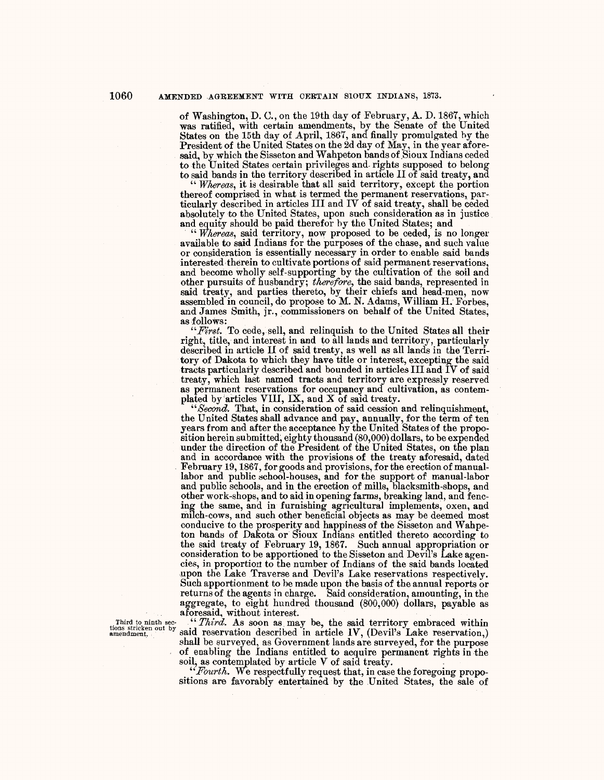of Washington, D. U., on the 19th day of February, A. D. 1867, which was ratified, with certain amendments, by the Senate of the United States on the 15th day of April, 1867, and finally promulgated by the President of the United States on the 2d day of May, in the year aforesaid, by which the Sisseton and Wahpeton bands of.Sioux Indians ceded to the United States certain privileges and- rights supposed to belong to said bands in the territory described in article II of said treaty, and

*"Whereas*, it is desirable that all said territory, except the portion thereof comprised in what is termed the permanent reservations, particularly described in articles III and IV of said treaty, shall be ceded absolutely to the United States, upon such consideration as in justice

"Whereas, said territory, now proposed to be ceded, is no longer available to said Indians for the purposes of the chase, and such value or consideration is essentially necessary in order to enable said bands interested therein to cultivate portions of said permanent reservations, and become wholly self-supporting by the cultivation of the soil and other pursuits of husbandry; *therefore,* the said bands, represented in said treaty, and parties thereto, by their chiefs and head-men, now assembled in council, do propose to M. N. Adams, William H. Forbes, and James Smith, jr., commissioners on behalf of the United States,

"*First.* To cede, sell, and relinquish to the United States all their right, title, and interest in and to all lands and territory, particularly described in article II of said treaty, as well as all lands in the Territory of Dakota to which they have title or interest, excepting the said tracts particularly described and bounded in articles III and IV of said treaty, which last named tracts and territory are expressly reserved as permanent reservations for occupancy and cultivation, as contemplated by articles VIII, IX, and X of said treaty.<br>*"Second.* That, in consideration of said cession and relinquishment,

the United States shall advance and pay, annually, for the term of ten years from and after the acceptance by the United States of the proposition herein submitted; eighty thousand (80,000) dollars, to be expended under the direction of the President of the United States, on the plan and in accordance with the provisions of the treaty aforesaid, dated February 19, 1867, for goods and provisions, for the erection of manuallabor and public school-houses, and for the support of manual-labor and public schools, and in the erection of mills, blacksmith-shops, and other work-shops, and to aid in opening farms, breaking land, and fencing the same, and in furnishing agricultural implements, oxen, and milch-cows, and such other beneficial objects as may be deemed most conducive to the prosperity and happiness of the Sisseton and Wahpeton bands of Dakota or Sioux Indians entitled thereto according to the said treaty of February 19, 1867. Such annual appropriation or consideration to be apportioned to the Sisseton and Devil's Lake agencies, in proportion to the number of Indians of the said bands located upon the Lake Traverse and Devil's Lake reservations respectively. Such apportionment to be made upon the basis of the annual reports or returns of the agents in charge. Said consideration, amounting, in the aggregate, to eight hundred thousand (800,000) dollars, payable as

Third to ninth sec- "*Third*. As soon as may be, the said territory embraced within ions stricken out by said reservation described in article IV, (Devil's Lake reservation,) said reservation described in article IV, (Devil's Lake reservation,) shall be surveyed, as Government lands are surveyed, for the purpose of enabling the Indians entitled to acquire permanent rights in the soil, as contemplated by article  $V$  of said treaty.

> *Fourth.* We respectfully request that, in case the foregoing propositions are favorably entertained by the United States, the sale of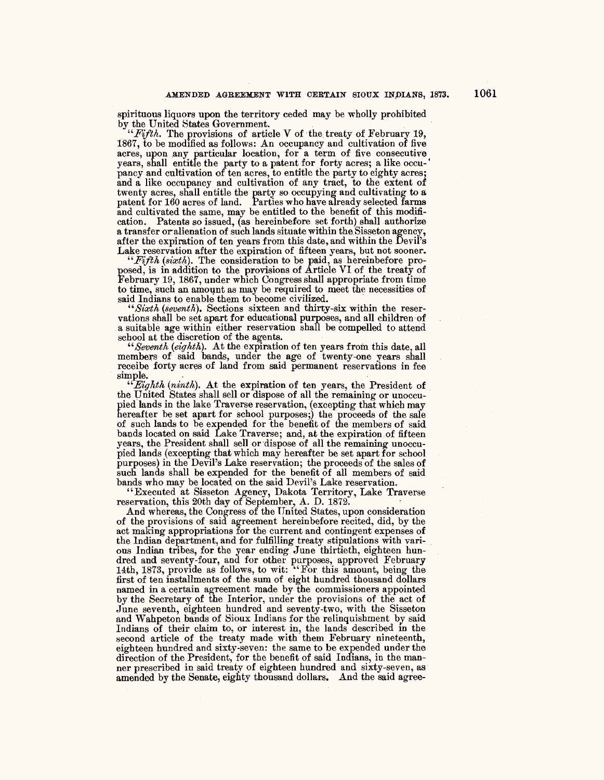spirituous liquors upon the territory ceded may be wholly prohibited<br>by the United States Government.

"Fifth. The provisions of article V of the treaty of February 19, 1867, to be modified as follows: An occupancy and cultivation of five acres, upon any particular location, for a term of five consecutive years, shall entitle the party to a patent for forty acres; a like occu-' pancy and cultivation of ten acres, to entitle the party to eighty acres; and a like occupancy and cultivation of any tract, to the extent of twenty acres, shall entitle the party so occupying and cultivating to a patent for 160 acres of land. Parties who have already selected farms and cultivated the same, may be entitled to the benefit of this modification. Patents so issued, (as hereinbefore set forth) shall authorize a transfer or-alienation of such lands situate within the Sisseton agency, after the expiration of ten years from this date, and within the Devil's Lake reservation after the expiration of fifteen years, but not sooner.

*"Fifth (simth).* The consideration to be paid, as hereinbefore proposed, is in addition to the provisions of Article VI of the treaty of February 19, 1867, under which Congress shall appropriate from time to time, such an amount as may be required to meet the necessities of said Indians to enable them to become civilized.

"Sixth (seventh). Sections sixteen and thirty-six within the reservations shall be set apart for educational purposes, and all children of a suitable age within either reservation shall be compelled to attend school at the discretion of the agents.

"Seventh (eighth). At the expiration of ten years from this date, all members of said bands, under the age of twenty-one years shall receibe forty acres of land from said permanent reservations in fee

 $Eighth$  *Eighth (ninth).* At the expiration of ten years, the President of the United States shall sell or dispose of all the remaining or unoccupied lands in the lake Traverse reservation, (excepting that which may hereafter be set apart for school purposes;) the proceeds of the sale of such lands to he expended for the benefit of the members of said bands located on said Lake Traverse; and, at the expiration of fifteen years, the President shall sell or dispose of all the remaining unoccupied lands ( excepting that which may hereafter be set apart for school purposes) in the Devil's Lake reservation; the proceeds of the sales of such lands shall be expended for the benefit of all members of said bands who may be located on the said Devil's Lake reservation.

"Executed at Sisseton Agency, Dakota Territory, Lake Traverse

And whereas, the Congress of the United States, upon consideration of the provisions of said agreement hereinbefore recited, did, by the act making appropriations for the current and contingent expenses of the Indian department, and for fulfilling treaty stipulations with vari-<br>ous Indian tribes, for the year ending June thirtieth, eighteen hundred and seventy-four, and for other purposes, approved February 14th, 1873, provide as follows, to wit: '' For this amount, being the first of ten installments of the sum of eight hundred thousand dollars named in a certain agreement made by the commissioners appointed by the Secretary of the Interior, under the provisions of the act of June seventh, eighteen hundred and seventy-two, with the Sisseton and Wahpeton bands of Sioux Indians for the relinquishment by said Indians of their claim to, or interest in, the lands described in the second article of the treaty made with them February nineteenth, eighteen hundred and sixty-seven: the same to be expended under the direction of the President, for the benefit of said Indians, in the manner prescribed in said treatv of eighteen hundred and sixty-seven, as amended by the Senate, eighty thousand dollars. And the said agree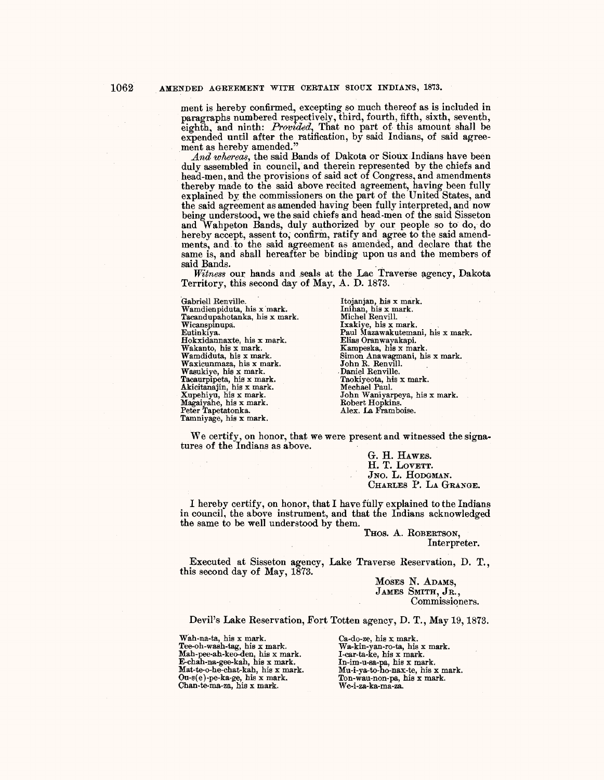ment is hereby confirmed, excepting so much thereof as is included in paragraphs numbered respectively, third, fourth, fifth, sixth, seventh, eighth, and ninth: *Provided*, That no part of this amount shall be expended until after the ratification, by said Indians, of said agreement as hereby amended."

*.And whereas,* the said Bands of Dakota or Sioux Indians have been duly assembled in council, and therein represented by the chiefs and head-men, and the provisions of said act of Congress, and amendments thereby made to the said above recited agreement, having been fully explained by the commissioners on the part of the United States, and the said agreement as amended having been fully interpreted, and now being understood, we the said chiefs and head-men of the said Sisseton and Wahpeton Bands, duly authorized by our people so to do, do hereby accept, assent to; confirm, ratify and agree to the said amendments, and. to the said agreement aa amended, and declare that the same is, and shall hereafter be binding upon us and the members of said Bands.

Witness our hands and seals at the Lac Traverse agency, Dakota Territory, this second day of May, A. D. 1873.

Gabriell Renville. Wamdienpiduta, his x mark. Tacandupahotanka, his x mark. Wicanspinupa. Eutinkiya. Hokxidannaxte, his x mark. Wakanto, his x mark. Wamdiduta, his x mark. Waxicunmaza, his x mark. Wasukiye, his x mark. Tacaurpipeta, his x mark. Akicitanajin, his x mark. Xupehiyu, his x mark. Magaiyahe, his x mark. Peter Tapetatonka. Tamniyage, his x mark.

Itojanjan, his x mark. Inihan, bis x mark. Michel Renvill. Ixakiye, his x mark. Paul Mazawakutemani, his x mark. Elias Oranwayakapi. Kampeska, bis x mark. Simon Anawagmani, his x mark.<br>John R. Renvill. Daniel Renville.<br>Taokiyeota, his x mark. Mechael Paul. John Waniyarpeya, his x mark. Robert Hopkins. Alex. **La** Framboise.

We certify, on honor, that we were present and witnessed the signatures of the Indians as above. <br> G. H. HAWES.

H. T. LOVETT. JNo. L. HoooMAN. CHARLES P. LA GRANGE.

I hereby certify, on honor, that I have fully explained to the Indians in council, the above instrument, and that the Indians acknowledged the same to be well understood by them.

THOS. A. ROBERTSON, Interpreter.

Executed at Sisseton agency, Lake Traverse Reservation, D. T., this second day of May, 1873.

> MOSES N. ADAMS, JAMES SMITH, JR.' Commissioners.

Devil's Lake Reservation, Fort Totten agency, **D. T., May** 19, 1873.

Wab-na-ta, his X mark. Tee-oh-wash-tag, his x mark. Mah-pee-ah-keo-den, his x mark. E-chah-na-gee-kah, his x mark. Mat-te-o-he-chat-kah, his x mark. Ou-s(e)-pe-ka-ge, his x mark. Chan-te-ma-za, his x mark.

Ca-do-ze, his x mark. Wa-kin-yan-ro-ta, his x mark. I-car-ta-ke, his x mark. In-im-u-sa-pa, his x mark. Mu-i-va-to-ho-nax-te, his x mark. Ton-wau-non-pa, his x mark. We-i-za-ka-ma-za.